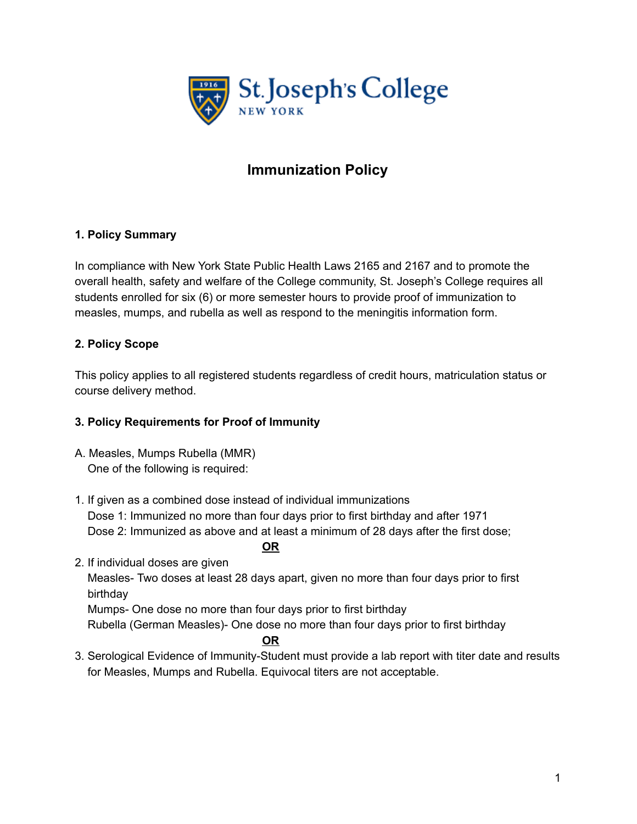

# **Immunization Policy**

# **1. Policy Summary**

In compliance with New York State Public Health Laws 2165 and 2167 and to promote the overall health, safety and welfare of the College community, St. Joseph's College requires all students enrolled for six (6) or more semester hours to provide proof of immunization to measles, mumps, and rubella as well as respond to the meningitis information form.

## **2. Policy Scope**

This policy applies to all registered students regardless of credit hours, matriculation status or course delivery method.

#### **3. Policy Requirements for Proof of Immunity**

- A. Measles, Mumps Rubella (MMR) One of the following is required:
- 1. If given as a combined dose instead of individual immunizations Dose 1: Immunized no more than four days prior to first birthday and after 1971 Dose 2: Immunized as above and at least a minimum of 28 days after the first dose;

**OR**

2. If individual doses are given Measles- Two doses at least 28 days apart, given no more than four days prior to first birthday Mumps- One dose no more than four days prior to first birthday

Rubella (German Measles)- One dose no more than four days prior to first birthday

#### **OR**

3. Serological Evidence of Immunity-Student must provide a lab report with titer date and results for Measles, Mumps and Rubella. Equivocal titers are not acceptable.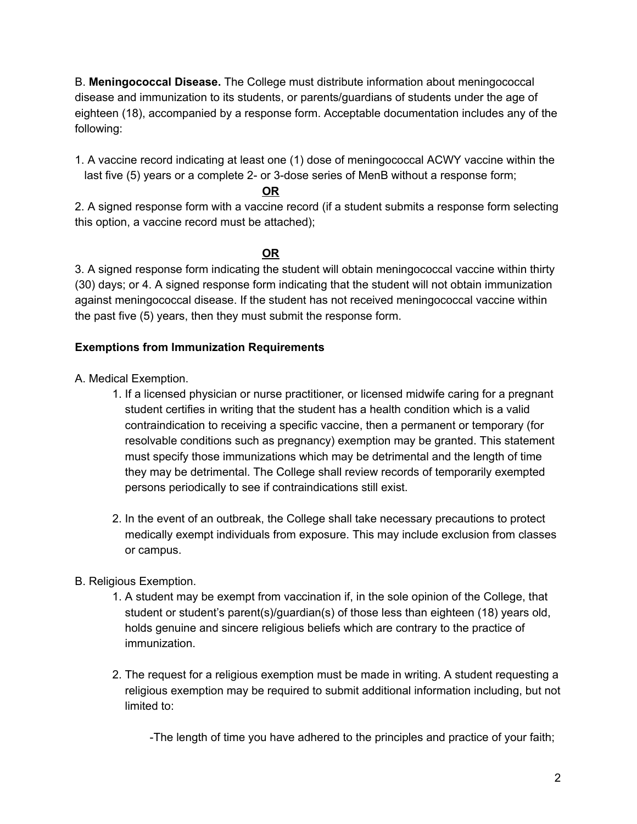B. **Meningococcal Disease.** The College must distribute information about meningococcal disease and immunization to its students, or parents/guardians of students under the age of eighteen (18), accompanied by a response form. Acceptable documentation includes any of the following:

1. A vaccine record indicating at least one (1) dose of meningococcal ACWY vaccine within the last five (5) years or a complete 2- or 3-dose series of MenB without a response form;

#### **OR**

2. A signed response form with a vaccine record (if a student submits a response form selecting this option, a vaccine record must be attached);

## **OR**

3. A signed response form indicating the student will obtain meningococcal vaccine within thirty (30) days; or 4. A signed response form indicating that the student will not obtain immunization against meningococcal disease. If the student has not received meningococcal vaccine within the past five (5) years, then they must submit the response form.

## **Exemptions from Immunization Requirements**

A. Medical Exemption.

- 1. If a licensed physician or nurse practitioner, or licensed midwife caring for a pregnant student certifies in writing that the student has a health condition which is a valid contraindication to receiving a specific vaccine, then a permanent or temporary (for resolvable conditions such as pregnancy) exemption may be granted. This statement must specify those immunizations which may be detrimental and the length of time they may be detrimental. The College shall review records of temporarily exempted persons periodically to see if contraindications still exist.
- 2. In the event of an outbreak, the College shall take necessary precautions to protect medically exempt individuals from exposure. This may include exclusion from classes or campus.

## B. Religious Exemption.

- 1. A student may be exempt from vaccination if, in the sole opinion of the College, that student or student's parent(s)/guardian(s) of those less than eighteen (18) years old, holds genuine and sincere religious beliefs which are contrary to the practice of immunization.
- 2. The request for a religious exemption must be made in writing. A student requesting a religious exemption may be required to submit additional information including, but not limited to:

-The length of time you have adhered to the principles and practice of your faith;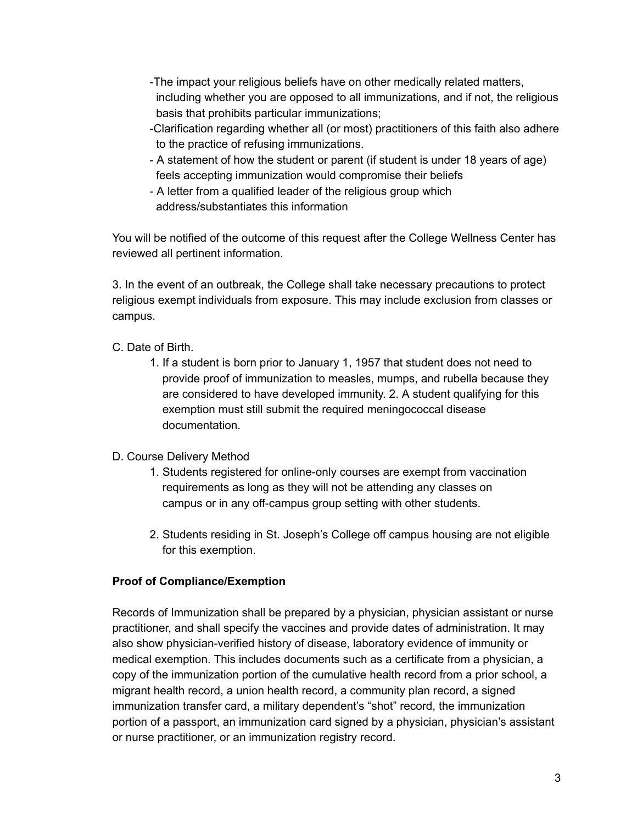- -The impact your religious beliefs have on other medically related matters, including whether you are opposed to all immunizations, and if not, the religious basis that prohibits particular immunizations;
- -Clarification regarding whether all (or most) practitioners of this faith also adhere to the practice of refusing immunizations.
- A statement of how the student or parent (if student is under 18 years of age) feels accepting immunization would compromise their beliefs
- A letter from a qualified leader of the religious group which address/substantiates this information

You will be notified of the outcome of this request after the College Wellness Center has reviewed all pertinent information.

3. In the event of an outbreak, the College shall take necessary precautions to protect religious exempt individuals from exposure. This may include exclusion from classes or campus.

## C. Date of Birth.

1. If a student is born prior to January 1, 1957 that student does not need to provide proof of immunization to measles, mumps, and rubella because they are considered to have developed immunity. 2. A student qualifying for this exemption must still submit the required meningococcal disease documentation.

## D. Course Delivery Method

- 1. Students registered for online-only courses are exempt from vaccination requirements as long as they will not be attending any classes on campus or in any off-campus group setting with other students.
- 2. Students residing in St. Joseph's College off campus housing are not eligible for this exemption.

# **Proof of Compliance/Exemption**

Records of Immunization shall be prepared by a physician, physician assistant or nurse practitioner, and shall specify the vaccines and provide dates of administration. It may also show physician-verified history of disease, laboratory evidence of immunity or medical exemption. This includes documents such as a certificate from a physician, a copy of the immunization portion of the cumulative health record from a prior school, a migrant health record, a union health record, a community plan record, a signed immunization transfer card, a military dependent's "shot" record, the immunization portion of a passport, an immunization card signed by a physician, physician's assistant or nurse practitioner, or an immunization registry record.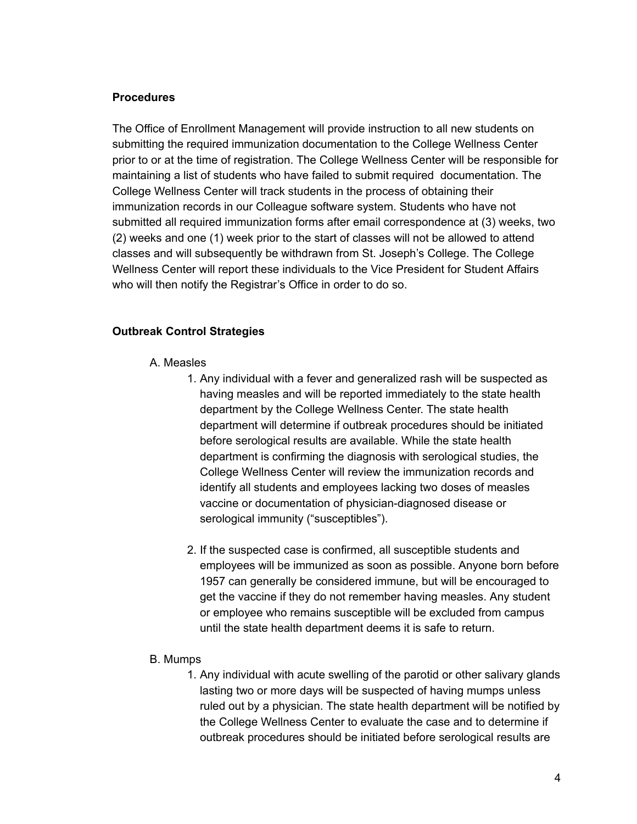#### **Procedures**

The Office of Enrollment Management will provide instruction to all new students on submitting the required immunization documentation to the College Wellness Center prior to or at the time of registration. The College Wellness Center will be responsible for maintaining a list of students who have failed to submit required documentation. The College Wellness Center will track students in the process of obtaining their immunization records in our Colleague software system. Students who have not submitted all required immunization forms after email correspondence at (3) weeks, two (2) weeks and one (1) week prior to the start of classes will not be allowed to attend classes and will subsequently be withdrawn from St. Joseph's College. The College Wellness Center will report these individuals to the Vice President for Student Affairs who will then notify the Registrar's Office in order to do so.

#### **Outbreak Control Strategies**

- A. Measles
	- 1. Any individual with a fever and generalized rash will be suspected as having measles and will be reported immediately to the state health department by the College Wellness Center. The state health department will determine if outbreak procedures should be initiated before serological results are available. While the state health department is confirming the diagnosis with serological studies, the College Wellness Center will review the immunization records and identify all students and employees lacking two doses of measles vaccine or documentation of physician-diagnosed disease or serological immunity ("susceptibles").
	- 2. If the suspected case is confirmed, all susceptible students and employees will be immunized as soon as possible. Anyone born before 1957 can generally be considered immune, but will be encouraged to get the vaccine if they do not remember having measles. Any student or employee who remains susceptible will be excluded from campus until the state health department deems it is safe to return.

#### B. Mumps

1. Any individual with acute swelling of the parotid or other salivary glands lasting two or more days will be suspected of having mumps unless ruled out by a physician. The state health department will be notified by the College Wellness Center to evaluate the case and to determine if outbreak procedures should be initiated before serological results are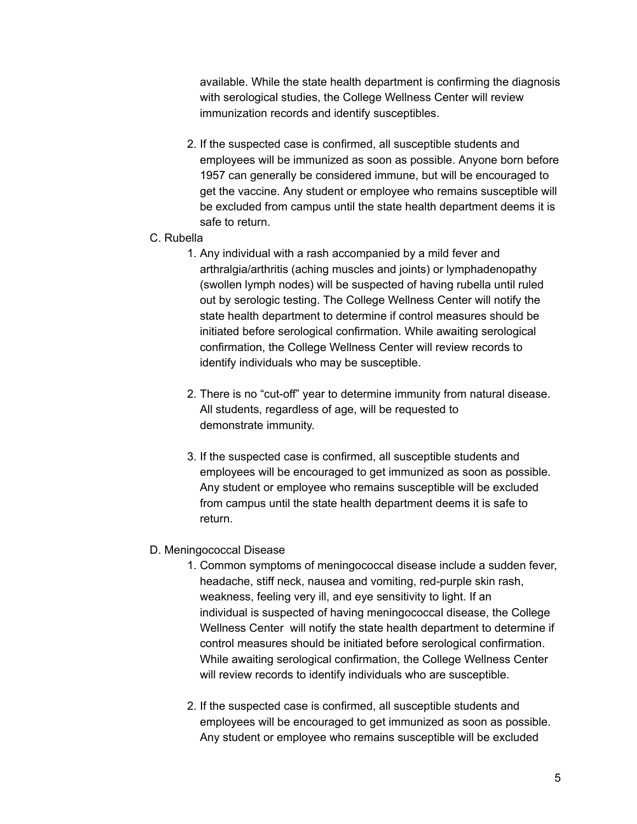available. While the state health department is confirming the diagnosis with serological studies, the College Wellness Center will review immunization records and identify susceptibles.

- 2. If the suspected case is confirmed, all susceptible students and employees will be immunized as soon as possible. Anyone born before 1957 can generally be considered immune, but will be encouraged to get the vaccine. Any student or employee who remains susceptible will be excluded from campus until the state health department deems it is safe to return.
- C. Rubella
	- 1. Any individual with a rash accompanied by a mild fever and arthralgia/arthritis (aching muscles and joints) or lymphadenopathy (swollen lymph nodes) will be suspected of having rubella until ruled out by serologic testing. The College Wellness Center will notify the state health department to determine if control measures should be initiated before serological confirmation. While awaiting serological confirmation, the College Wellness Center will review records to identify individuals who may be susceptible.
	- 2. There is no "cut-off" year to determine immunity from natural disease. All students, regardless of age, will be requested to demonstrate immunity.
	- 3. If the suspected case is confirmed, all susceptible students and employees will be encouraged to get immunized as soon as possible. Any student or employee who remains susceptible will be excluded from campus until the state health department deems it is safe to return.

#### D. Meningococcal Disease

- 1. Common symptoms of meningococcal disease include a sudden fever, headache, stiff neck, nausea and vomiting, red-purple skin rash, weakness, feeling very ill, and eye sensitivity to light. If an individual is suspected of having meningococcal disease, the College Wellness Center will notify the state health department to determine if control measures should be initiated before serological confirmation. While awaiting serological confirmation, the College Wellness Center will review records to identify individuals who are susceptible.
- 2. If the suspected case is confirmed, all susceptible students and employees will be encouraged to get immunized as soon as possible. Any student or employee who remains susceptible will be excluded